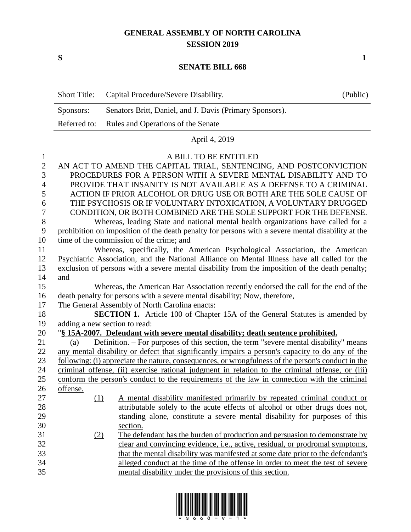## **GENERAL ASSEMBLY OF NORTH CAROLINA SESSION 2019**

**S 1**

## **SENATE BILL 668**

|                  | <b>Short Title:</b>                                                                                | Capital Procedure/Severe Disability.                                                         | (Public) |  |
|------------------|----------------------------------------------------------------------------------------------------|----------------------------------------------------------------------------------------------|----------|--|
|                  | Sponsors:                                                                                          | Senators Britt, Daniel, and J. Davis (Primary Sponsors).                                     |          |  |
|                  | Referred to:                                                                                       | Rules and Operations of the Senate                                                           |          |  |
|                  | April 4, 2019                                                                                      |                                                                                              |          |  |
| $\mathbf{1}$     |                                                                                                    | A BILL TO BE ENTITLED                                                                        |          |  |
| $\overline{2}$   |                                                                                                    | AN ACT TO AMEND THE CAPITAL TRIAL, SENTENCING, AND POSTCONVICTION                            |          |  |
| 3                | PROCEDURES FOR A PERSON WITH A SEVERE MENTAL DISABILITY AND TO                                     |                                                                                              |          |  |
| 4                | PROVIDE THAT INSANITY IS NOT AVAILABLE AS A DEFENSE TO A CRIMINAL                                  |                                                                                              |          |  |
| 5                | ACTION IF PRIOR ALCOHOL OR DRUG USE OR BOTH ARE THE SOLE CAUSE OF                                  |                                                                                              |          |  |
| 6                | THE PSYCHOSIS OR IF VOLUNTARY INTOXICATION, A VOLUNTARY DRUGGED                                    |                                                                                              |          |  |
| $\overline{7}$   | CONDITION, OR BOTH COMBINED ARE THE SOLE SUPPORT FOR THE DEFENSE.                                  |                                                                                              |          |  |
| 8                | Whereas, leading State and national mental health organizations have called for a                  |                                                                                              |          |  |
| $\boldsymbol{9}$ | prohibition on imposition of the death penalty for persons with a severe mental disability at the  |                                                                                              |          |  |
| 10               | time of the commission of the crime; and                                                           |                                                                                              |          |  |
| 11               | Whereas, specifically, the American Psychological Association, the American                        |                                                                                              |          |  |
| 12               | Psychiatric Association, and the National Alliance on Mental Illness have all called for the       |                                                                                              |          |  |
| 13               | exclusion of persons with a severe mental disability from the imposition of the death penalty;     |                                                                                              |          |  |
| 14               | and                                                                                                |                                                                                              |          |  |
| 15               |                                                                                                    | Whereas, the American Bar Association recently endorsed the call for the end of the          |          |  |
| 16               | death penalty for persons with a severe mental disability; Now, therefore,                         |                                                                                              |          |  |
| 17               | The General Assembly of North Carolina enacts:                                                     |                                                                                              |          |  |
| 18               | <b>SECTION 1.</b> Article 100 of Chapter 15A of the General Statutes is amended by                 |                                                                                              |          |  |
| 19               |                                                                                                    | adding a new section to read:                                                                |          |  |
| 20               | "§ 15A-2007. Defendant with severe mental disability; death sentence prohibited.                   |                                                                                              |          |  |
| 21               | (a)                                                                                                | <u>Definition. – For purposes of this section, the term "severe mental disability" means</u> |          |  |
| 22               | any mental disability or defect that significantly impairs a person's capacity to do any of the    |                                                                                              |          |  |
| 23               | following: (i) appreciate the nature, consequences, or wrongfulness of the person's conduct in the |                                                                                              |          |  |
| 24               | criminal offense, (ii) exercise rational judgment in relation to the criminal offense, or (iii)    |                                                                                              |          |  |
| 25               | conform the person's conduct to the requirements of the law in connection with the criminal        |                                                                                              |          |  |
| 26               | offense.                                                                                           |                                                                                              |          |  |
| 27               | (1)                                                                                                | A mental disability manifested primarily by repeated criminal conduct or                     |          |  |
| 28               |                                                                                                    | attributable solely to the acute effects of alcohol or other drugs does not,                 |          |  |
| 29               |                                                                                                    | standing alone, constitute a severe mental disability for purposes of this                   |          |  |
| 30               |                                                                                                    | section.                                                                                     |          |  |
| 31               | (2)                                                                                                | The defendant has the burden of production and persuasion to demonstrate by                  |          |  |
| 32               |                                                                                                    | clear and convincing evidence, <i>i.e.</i> , active, residual, or prodromal symptoms,        |          |  |
| 33               |                                                                                                    | that the mental disability was manifested at some date prior to the defendant's              |          |  |
| 34               |                                                                                                    | alleged conduct at the time of the offense in order to meet the test of severe               |          |  |
| 35               |                                                                                                    | mental disability under the provisions of this section.                                      |          |  |

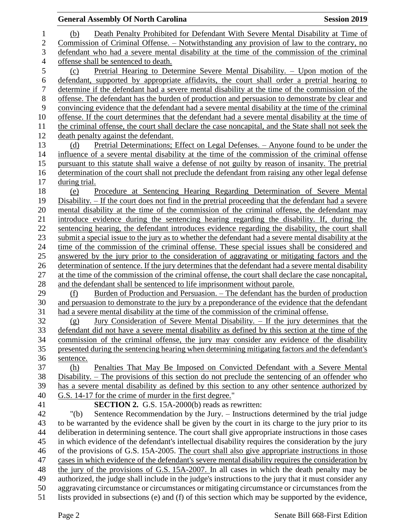|                | <b>General Assembly Of North Carolina</b>                                                                                                                                                   | <b>Session 2019</b> |
|----------------|---------------------------------------------------------------------------------------------------------------------------------------------------------------------------------------------|---------------------|
| $\mathbf 1$    | Death Penalty Prohibited for Defendant With Severe Mental Disability at Time of<br>(b)                                                                                                      |                     |
| $\overline{2}$ | <u>Commission of Criminal Offense. – Notwithstanding any provision of law to the contrary, no</u>                                                                                           |                     |
| 3              | defendant who had a severe mental disability at the time of the commission of the criminal                                                                                                  |                     |
| 4              | offense shall be sentenced to death.                                                                                                                                                        |                     |
| 5              | Pretrial Hearing to Determine Severe Mental Disability. – Upon motion of the<br>(c)                                                                                                         |                     |
| 6              | defendant, supported by appropriate affidavits, the court shall order a pretrial hearing to                                                                                                 |                     |
| 7              | determine if the defendant had a severe mental disability at the time of the commission of the                                                                                              |                     |
| $8\,$          | offense. The defendant has the burden of production and persuasion to demonstrate by clear and                                                                                              |                     |
| 9              | convincing evidence that the defendant had a severe mental disability at the time of the criminal                                                                                           |                     |
| 10             | offense. If the court determines that the defendant had a severe mental disability at the time of                                                                                           |                     |
| 11             | the criminal offense, the court shall declare the case noncapital, and the State shall not seek the                                                                                         |                     |
| 12             | death penalty against the defendant.                                                                                                                                                        |                     |
| 13             | <u>Pretrial Determinations; Effect on Legal Defenses. – Anyone found to be under the</u><br>(d)                                                                                             |                     |
| 14             | influence of a severe mental disability at the time of the commission of the criminal offense                                                                                               |                     |
| 15             | pursuant to this statute shall waive a defense of not guilty by reason of insanity. The pretrial                                                                                            |                     |
| 16             | determination of the court shall not preclude the defendant from raising any other legal defense                                                                                            |                     |
| 17             | during trial.                                                                                                                                                                               |                     |
| 18             | Procedure at Sentencing Hearing Regarding Determination of Severe Mental<br>(e)                                                                                                             |                     |
| 19             | Disability. – If the court does not find in the pretrial proceeding that the defendant had a severe                                                                                         |                     |
| 20             | mental disability at the time of the commission of the criminal offense, the defendant may                                                                                                  |                     |
| 21             | introduce evidence during the sentencing hearing regarding the disability. If, during the                                                                                                   |                     |
| 22             | sentencing hearing, the defendant introduces evidence regarding the disability, the court shall                                                                                             |                     |
| 23             | submit a special issue to the jury as to whether the defendant had a severe mental disability at the                                                                                        |                     |
| 24             | time of the commission of the criminal offense. These special issues shall be considered and                                                                                                |                     |
| 25             | answered by the jury prior to the consideration of aggravating or mitigating factors and the                                                                                                |                     |
| 26             | determination of sentence. If the jury determines that the defendant had a severe mental disability                                                                                         |                     |
| 27             | at the time of the commission of the criminal offense, the court shall declare the case noncapital,                                                                                         |                     |
| 28             | and the defendant shall be sentenced to life imprisonment without parole.                                                                                                                   |                     |
| 29<br>30       | Burden of Production and Persuasion. – The defendant has the burden of production<br>(f)<br>and persuasion to demonstrate to the jury by a preponderance of the evidence that the defendant |                     |
| 31             | had a severe mental disability at the time of the commission of the criminal offense.                                                                                                       |                     |
| 32             | Jury Consideration of Severe Mental Disability. - If the jury determines that the<br>(g)                                                                                                    |                     |
| 33             | defendant did not have a severe mental disability as defined by this section at the time of the                                                                                             |                     |
| 34             | commission of the criminal offense, the jury may consider any evidence of the disability                                                                                                    |                     |
| 35             | presented during the sentencing hearing when determining mitigating factors and the defendant's                                                                                             |                     |
| 36             | sentence.                                                                                                                                                                                   |                     |
| 37             | Penalties That May Be Imposed on Convicted Defendant with a Severe Mental<br>(h)                                                                                                            |                     |
| 38             | <u>Disability. – The provisions of this section do not preclude the sentencing of an offender who</u>                                                                                       |                     |
| 39             | has a severe mental disability as defined by this section to any other sentence authorized by                                                                                               |                     |
| 40             | G.S. 14-17 for the crime of murder in the first degree."                                                                                                                                    |                     |
| 41             | <b>SECTION 2.</b> G.S. 15A-2000(b) reads as rewritten:                                                                                                                                      |                     |
| 42             | Sentence Recommendation by the Jury. - Instructions determined by the trial judge<br>" $(b)$                                                                                                |                     |
| 43             | to be warranted by the evidence shall be given by the court in its charge to the jury prior to its                                                                                          |                     |
| 44             | deliberation in determining sentence. The court shall give appropriate instructions in those cases                                                                                          |                     |
| 45             | in which evidence of the defendant's intellectual disability requires the consideration by the jury                                                                                         |                     |
| 46             | of the provisions of G.S. 15A-2005. The court shall also give appropriate instructions in those                                                                                             |                     |
| 47             | cases in which evidence of the defendant's severe mental disability requires the consideration by                                                                                           |                     |
| 48             | the jury of the provisions of G.S. 15A-2007. In all cases in which the death penalty may be                                                                                                 |                     |
| 49             | authorized, the judge shall include in the judge's instructions to the jury that it must consider any                                                                                       |                     |
| 50             | aggravating circumstance or circumstances or mitigating circumstance or circumstances from the                                                                                              |                     |
| 51             | lists provided in subsections (e) and (f) of this section which may be supported by the evidence,                                                                                           |                     |